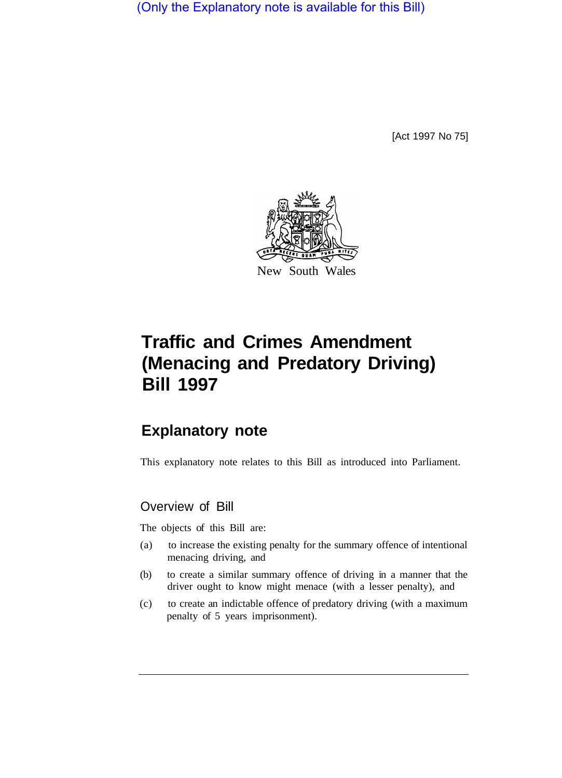(Only the Explanatory note is available for this Bill)

[Act 1997 No 75]



# **Traffic and Crimes Amendment (Menacing and Predatory Driving) Bill 1997**

## **Explanatory note**

This explanatory note relates to this Bill as introduced into Parliament.

### Overview of Bill

The objects of this Bill are:

- (a) to increase the existing penalty for the summary offence of intentional menacing driving, and
- (b) to create a similar summary offence of driving in a manner that the driver ought to know might menace (with a lesser penalty), and
- (c) to create an indictable offence of predatory driving (with a maximum penalty of 5 years imprisonment).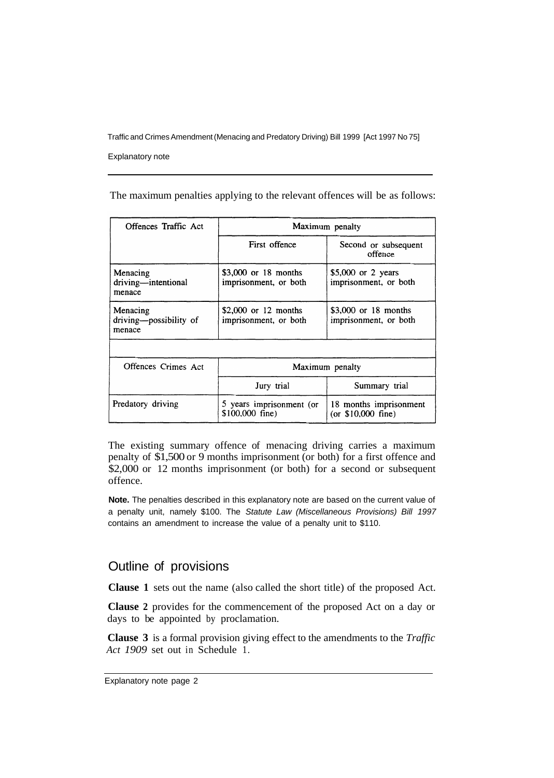Traffic and Crimes Amendment (Menacing and Predatory Driving) Bill 1999 [Act 1997 No 75]

Explanatory note

The maximum penalties applying to the relevant offences will be as follows:

| Offences Traffic Act                         | Maximum penalty                                |                                                |
|----------------------------------------------|------------------------------------------------|------------------------------------------------|
|                                              | First offence                                  | Second or subsequent<br>offence                |
| Menacing<br>driving-intentional<br>menace    | $$3,000$ or 18 months<br>imprisonment, or both | $$5,000$ or 2 years<br>imprisonment, or both   |
| Menacing<br>driving-possibility of<br>menace | $$2,000$ or 12 months<br>imprisonment, or both | $$3,000$ or 18 months<br>imprisonment, or both |
|                                              |                                                |                                                |
| Offences Crimes Act                          | Maximum penalty                                |                                                |
|                                              | Jury trial                                     | Summary trial                                  |
| Predatory driving                            | 5 years imprisonment (or<br>$$100,000$ fine)   | 18 months imprisonment<br>(or $$10,000$ fine)  |

The existing summary offence of menacing driving carries a maximum penalty of \$1,500 or 9 months imprisonment (or both) for a first offence and \$2,000 or 12 months imprisonment (or both) for a second or subsequent offence.

**Note.** The penalties described in this explanatory note are based on the current value of a penalty unit, namely \$100. The *Statute Law (Miscellaneous Provisions) Bill 1997*  contains an amendment to increase the value of a penalty unit to \$110.

#### Outline of provisions

**Clause 1** sets out the name (also called the short title) of the proposed Act.

**Clause 2** provides for the commencement of the proposed Act on a day or days to be appointed by proclamation.

**Clause 3** is a formal provision giving effect to the amendments to the *Traffic Act 1909* set out in Schedule 1.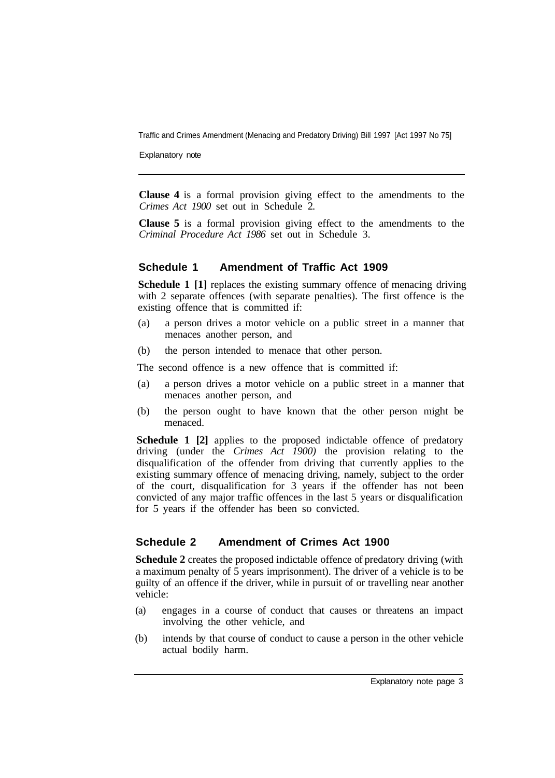Traffic and Crimes Amendment (Menacing and Predatory Driving) Bill 1997 [Act 1997 No 75]

Explanatory note

**Clause 4** is a formal provision giving effect to the amendments to the *Crimes Act 1900* set out in Schedule 2.

**Clause 5** is a formal provision giving effect to the amendments to the *Criminal Procedure Act 1986* set out in Schedule 3.

#### **Schedule 1 Amendment of Traffic Act 1909**

**Schedule 1** [1] replaces the existing summary offence of menacing driving with 2 separate offences (with separate penalties). The first offence is the existing offence that is committed if:

- (a) a person drives a motor vehicle on a public street in a manner that menaces another person, and
- (b) the person intended to menace that other person.

The second offence is a new offence that is committed if:

- (a) a person drives a motor vehicle on a public street in a manner that menaces another person, and
- (b) the person ought to have known that the other person might be menaced.

**Schedule 1 [2]** applies to the proposed indictable offence of predatory driving (under the *Crimes Act 1900)* the provision relating to the disqualification of the offender from driving that currently applies to the existing summary offence of menacing driving, namely, subject to the order of the court, disqualification for 3 years if the offender has not been convicted of any major traffic offences in the last 5 years or disqualification for 5 years if the offender has been so convicted.

#### **Schedule 2 Amendment of Crimes Act 1900**

**Schedule 2** creates the proposed indictable offence of predatory driving (with a maximum penalty of 5 years imprisonment). The driver of a vehicle is to be guilty of an offence if the driver, while in pursuit of or travelling near another vehicle:

- (a) engages in a course of conduct that causes or threatens an impact involving the other vehicle, and
- (b) intends by that course of conduct to cause a person in the other vehicle actual bodily harm.